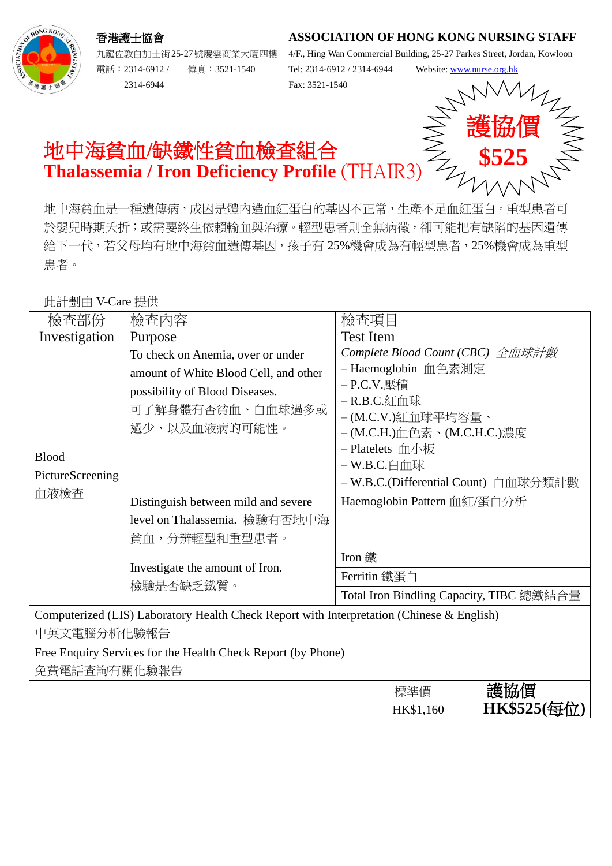**ASSOCIATION OF HONG KONG NURSING STAFF**



九龍佐敦白加士街25-27號慶雲商業大廈四樓 電話︰2314-6912 / 傳真︰3521-1540 2314-6944

香港護士協會

4/F., Hing Wan Commercial Building, 25-27 Parkes Street, Jordan, Kowloon Tel: 2314-6912 / 2314-6944 Website: [www.nurse.org.hk](http://www.nurse.org.hk/)



地中海貧血**/**缺鐵性貧血檢查組合 **Thalassemia / Iron Deficiency Profile** (THAIR3)

地中海貧血是一種遺傳病,成因是體內造血紅蛋白的基因不正常,生產不足血紅蛋白。重型患者可 於嬰兒時期夭折;或需要終生依賴輸血與治療。輕型患者則全無病徵,卻可能把有缺陷的基因遺傳 給下一代,若父母均有地中海貧血遺傳基因,孩子有 25%機會成為有輕型患者,25%機會成為重型 患者。

Fax: 3521-1540

此計劃由 V-Care 提供

| 檢查部份                                                                                      | 檢查內容                                                                                                                                                                                                                                       | 檢查項目                                                                                                                                                                                                                                               |  |
|-------------------------------------------------------------------------------------------|--------------------------------------------------------------------------------------------------------------------------------------------------------------------------------------------------------------------------------------------|----------------------------------------------------------------------------------------------------------------------------------------------------------------------------------------------------------------------------------------------------|--|
| Investigation                                                                             | Purpose                                                                                                                                                                                                                                    | <b>Test Item</b>                                                                                                                                                                                                                                   |  |
| <b>Blood</b><br>PictureScreening<br>血液檢查                                                  | To check on Anemia, over or under<br>amount of White Blood Cell, and other<br>possibility of Blood Diseases.<br>可了解身體有否貧血、白血球過多或<br>過少、以及血液病的可能性。<br>Distinguish between mild and severe<br>level on Thalassemia. 檢驗有否地中海<br>貧血,分辨輕型和重型患者。 | Complete Blood Count (CBC) 全血球計數<br>- Haemoglobin 血色素測定<br>- P.C.V.壓積<br>- R.B.C.紅血球<br>-(M.C.V.)紅血球平均容量、<br>– (M.C.H.)血色素、(M.C.H.C.)濃度<br>- Platelets 血小板<br>$-W.B.C.dm$ 球<br>- W.B.C.(Differential Count) 白血球分類計數<br>Haemoglobin Pattern 血紅/蛋白分析 |  |
|                                                                                           | Investigate the amount of Iron.<br>檢驗是否缺乏鐵質。                                                                                                                                                                                               | Iron 鐵                                                                                                                                                                                                                                             |  |
|                                                                                           |                                                                                                                                                                                                                                            | Ferritin 鐵蛋白                                                                                                                                                                                                                                       |  |
|                                                                                           |                                                                                                                                                                                                                                            | Total Iron Bindling Capacity, TIBC 總鐵結合量                                                                                                                                                                                                           |  |
| Computerized (LIS) Laboratory Health Check Report with Interpretation (Chinese & English) |                                                                                                                                                                                                                                            |                                                                                                                                                                                                                                                    |  |
| 中英文電腦分析化驗報告                                                                               |                                                                                                                                                                                                                                            |                                                                                                                                                                                                                                                    |  |
| Free Enquiry Services for the Health Check Report (by Phone)                              |                                                                                                                                                                                                                                            |                                                                                                                                                                                                                                                    |  |
| 免費電話查詢有關化驗報告                                                                              |                                                                                                                                                                                                                                            |                                                                                                                                                                                                                                                    |  |
|                                                                                           |                                                                                                                                                                                                                                            | 護協價<br>標準價<br><b>HK\$525</b><br>HK\$1,160                                                                                                                                                                                                          |  |